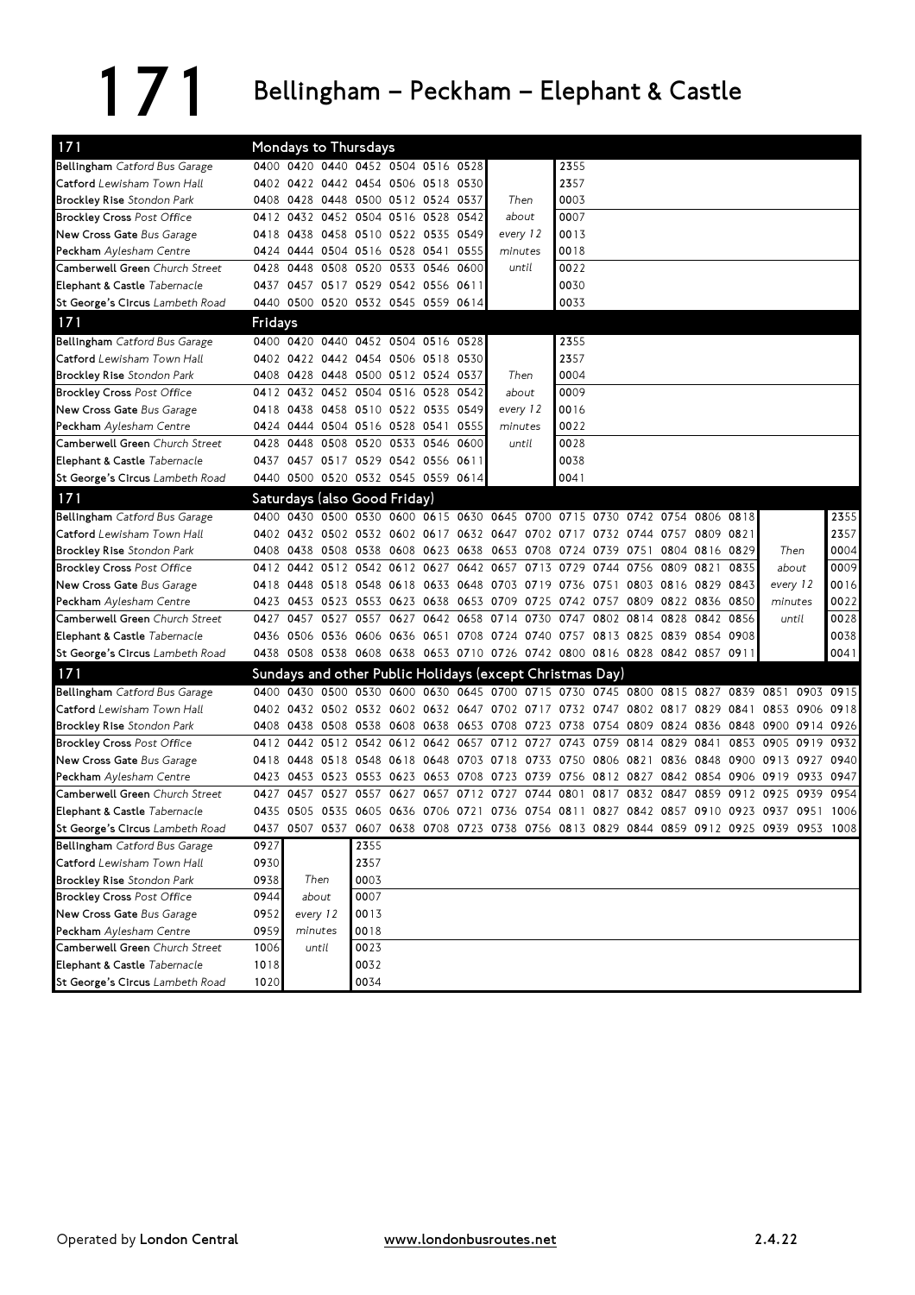## 171 Bellingham – Peckham – Elephant & Castle

| 171                               |                |       |                | Mondays to Thursdays                                                       |           |                     |           |                                         |                  |                     |                |      |                               |      |           |                                                                                           |      |           |
|-----------------------------------|----------------|-------|----------------|----------------------------------------------------------------------------|-----------|---------------------|-----------|-----------------------------------------|------------------|---------------------|----------------|------|-------------------------------|------|-----------|-------------------------------------------------------------------------------------------|------|-----------|
| Bellingham Catford Bus Garage     |                |       |                | 0400 0420 0440 0452 0504 0516 0528                                         |           |                     |           |                                         |                  | 2355                |                |      |                               |      |           |                                                                                           |      |           |
| Catford Lewisham Town Hall        |                |       |                | 0402 0422 0442 0454 0506 0518 0530                                         |           |                     |           |                                         |                  | 2357                |                |      |                               |      |           |                                                                                           |      |           |
| <b>Brockley Rise</b> Stondon Park |                |       |                | 0408 0428 0448 0500 0512 0524 0537                                         |           |                     |           | Then                                    |                  | 0003                |                |      |                               |      |           |                                                                                           |      |           |
| <b>Brockley Cross</b> Post Office |                |       |                | 0412 0432 0452 0504 0516 0528 0542                                         |           |                     |           | about                                   |                  | 0007                |                |      |                               |      |           |                                                                                           |      |           |
| New Cross Gate Bus Garage         |                |       |                | 0418 0438 0458 0510 0522 0535 0549                                         |           |                     |           | every 12                                |                  | 0013                |                |      |                               |      |           |                                                                                           |      |           |
| <b>Peckham</b> Aylesham Centre    |                |       |                | 0424 0444 0504 0516 0528 0541 0555                                         |           |                     |           | minutes                                 |                  | 0018                |                |      |                               |      |           |                                                                                           |      |           |
| Camberwell Green Church Street    | 0428           | 0448  | 0508           |                                                                            |           | 0520 0533 0546 0600 |           | until                                   |                  | 0022                |                |      |                               |      |           |                                                                                           |      |           |
| Elephant & Castle Tabernacle      |                |       |                | 0437 0457 0517 0529 0542 0556 0611                                         |           |                     |           |                                         |                  | 0030                |                |      |                               |      |           |                                                                                           |      |           |
| St George's Circus Lambeth Road   |                |       |                | 0440 0500 0520 0532 0545 0559 0614                                         |           |                     |           |                                         |                  | 0033                |                |      |                               |      |           |                                                                                           |      |           |
| 171                               | <b>Fridays</b> |       |                |                                                                            |           |                     |           |                                         |                  |                     |                |      |                               |      |           |                                                                                           |      |           |
| Bellingham Catford Bus Garage     |                |       |                | 0400 0420 0440 0452 0504 0516 0528                                         |           |                     |           |                                         |                  | 2355                |                |      |                               |      |           |                                                                                           |      |           |
| Catford Lewisham Town Hall        |                |       |                | 0402 0422 0442 0454 0506 0518 0530                                         |           |                     |           |                                         |                  | 2357                |                |      |                               |      |           |                                                                                           |      |           |
| <b>Brockley Rise Stondon Park</b> |                |       |                | 0408 0428 0448 0500 0512 0524 0537                                         |           |                     |           | Then                                    |                  | 0004                |                |      |                               |      |           |                                                                                           |      |           |
| <b>Brockley Cross</b> Post Office |                |       |                | 0412 0432 0452 0504 0516 0528 0542                                         |           |                     |           |                                         | 0009<br>about    |                     |                |      |                               |      |           |                                                                                           |      |           |
| New Cross Gate Bus Garage         |                |       |                | 0418 0438 0458 0510 0522 0535 0549                                         |           |                     |           |                                         | 0016<br>every 12 |                     |                |      |                               |      |           |                                                                                           |      |           |
| <b>Peckham</b> Aylesham Centre    |                |       |                | 0424 0444 0504 0516 0528 0541 0555                                         |           |                     |           | minutes                                 |                  | 0022                |                |      |                               |      |           |                                                                                           |      |           |
| Camberwell Green Church Street    | 0428           | 0448  | 0508           | 0520 0533 0546 0600                                                        |           |                     |           |                                         | until            | 0028                |                |      |                               |      |           |                                                                                           |      |           |
| Elephant & Castle Tabernacle      |                |       |                | 0437 0457 0517 0529 0542 0556 0611                                         |           |                     |           |                                         |                  | 0038                |                |      |                               |      |           |                                                                                           |      |           |
| St George's Circus Lambeth Road   |                |       |                | 0440 0500 0520 0532 0545 0559 0614                                         |           |                     |           |                                         |                  | 0041                |                |      |                               |      |           |                                                                                           |      |           |
| 171                               |                |       |                | Saturdays (also Good Friday)                                               |           |                     |           |                                         |                  |                     |                |      |                               |      |           |                                                                                           |      |           |
| Bellingham Catford Bus Garage     |                |       |                | 0400 0430 0500 0530 0600 0615 0630 0645 0700 0715 0730 0742 0754 0806 0818 |           |                     |           |                                         |                  |                     |                |      |                               |      |           |                                                                                           |      | 2355      |
| Catford Lewisham Town Hall        |                |       |                | 0402 0432 0502 0532 0602 0617 0632 0647 0702 0717 0732 0744 0757 0809 0821 |           |                     |           |                                         |                  |                     |                |      |                               |      |           |                                                                                           |      | 2357      |
| <b>Brockley Rise</b> Stondon Park |                |       |                | 0408 0438 0508 0538 0608 0623 0638                                         |           |                     |           | 0653 0708 0724 0739 0751                |                  |                     |                |      | 0804 0816 0829                |      |           | Then                                                                                      |      | 0004      |
| <b>Brockley Cross</b> Post Office | 0412           |       | 0442 0512      | 0542 0612                                                                  |           |                     | 0627 0642 |                                         |                  | 0657 0713 0729 0744 |                | 0756 | 0809 0821                     |      | 0835      | about                                                                                     |      | 0009      |
| New Cross Gate Bus Garage         |                |       |                | 0418 0448 0518 0548 0618 0633 0648 0703 0719 0736 0751 0803 0816 0829 0843 |           |                     |           |                                         |                  |                     |                |      |                               |      |           | every 12                                                                                  |      | 0016      |
| <b>Peckham</b> Aylesham Centre    |                |       | 0423 0453 0523 |                                                                            |           |                     |           | 0553 0623 0638 0653 0709 0725 0742 0757 |                  |                     |                |      | 0809 0822 0836 0850           |      |           | minutes                                                                                   |      | 0022      |
| Camberwell Green Church Street    | 0427           |       | 0457 0527      |                                                                            |           |                     |           | 0557 0627 0642 0658 0714 0730           |                  |                     |                |      | 0747 0802 0814 0828 0842 0856 |      |           | until                                                                                     |      | 0028      |
| Elephant & Castle Tabernacle      |                |       |                | 0436 0506 0536 0606 0636 0651 0708 0724 0740 0757 0813 0825 0839 0854 0908 |           |                     |           |                                         |                  |                     |                |      |                               |      |           |                                                                                           |      | 0038      |
| St George's Circus Lambeth Road   |                |       |                | 0438 0508 0538 0608 0638 0653 0710 0726 0742 0800 0816 0828 0842 0857 0911 |           |                     |           |                                         |                  |                     |                |      |                               |      |           |                                                                                           |      | 0041      |
| 171                               |                |       |                | Sundays and other Public Holidays (except Christmas Day)                   |           |                     |           |                                         |                  |                     |                |      |                               |      |           |                                                                                           |      |           |
| Bellingham Catford Bus Garage     |                |       | 0400 0430 0500 | 0530 0600 0630 0645 0700 0715 0730 0745 0800 0815 0827                     |           |                     |           |                                         |                  |                     |                |      |                               |      | 0839 0851 |                                                                                           | 0903 | 0915      |
| Catford Lewisham Town Hall        |                |       |                |                                                                            |           |                     |           |                                         |                  |                     |                |      |                               |      |           | 0402 0432 0502 0532 0602 0632 0647 0702 0717 0732 0747 0802 0817 0829 0841 0853 0906 0918 |      |           |
| <b>Brockley Rise</b> Stondon Park |                |       | 0408 0438 0508 |                                                                            |           |                     |           |                                         |                  |                     |                |      |                               |      |           | 0538 0608 0638 0653 0708 0723 0738 0754 0809 0824 0836 0848 0900 0914 0926                |      |           |
| <b>Brockley Cross Post Office</b> |                |       |                | 0412 0442 0512 0542 0612 0642 0657 0712 0727                               |           |                     |           |                                         |                  |                     |                |      | 0743 0759 0814 0829 0841      |      |           | 0853 0905                                                                                 | 0919 | 0932      |
| New Cross Gate Bus Garage         |                |       | 0418 0448 0518 | 0548 0618 0648 0703 0718 0733 0750 0806 0821                               |           |                     |           |                                         |                  |                     |                |      |                               |      |           | 0836 0848 0900 0913 0927                                                                  |      | 0940      |
| <b>Peckham</b> Aylesham Centre    |                |       | 0423 0453 0523 | 0553 0623 0653 0708                                                        |           |                     |           | 0723 0739 0756 0812 0827                |                  |                     |                |      | 0842 0854 0906 0919           |      |           |                                                                                           |      | 0933 0947 |
| Camberwell Green Church Street    | 0427           | 0457  | 0527           |                                                                            | 0557 0627 |                     | 0657 0712 | 0727                                    | 0744             |                     | 0801 0817 0832 |      | 0847                          | 0859 | 0912 0925 |                                                                                           | 0939 | 0954      |
| Elephant & Castle Tabernacle      |                |       |                |                                                                            |           |                     |           |                                         |                  |                     |                |      |                               |      |           | 0435 0505 0535 0605 0636 0706 0721 0736 0754 0811 0827 0842 0857 0910 0923 0937 0951 1006 |      |           |
| St George's Circus Lambeth Road   |                |       |                |                                                                            |           |                     |           |                                         |                  |                     |                |      |                               |      |           | 0437 0507 0537 0607 0638 0708 0723 0738 0756 0813 0829 0844 0859 0912 0925 0939 0953 1008 |      |           |
| Bellingham Catford Bus Garage     | 0927           |       |                | 2355                                                                       |           |                     |           |                                         |                  |                     |                |      |                               |      |           |                                                                                           |      |           |
| Catford Lewisham Town Hall        | 0930           |       |                | 2357                                                                       |           |                     |           |                                         |                  |                     |                |      |                               |      |           |                                                                                           |      |           |
| <b>Brockley Rise</b> Stondon Park | 0938           |       | Then           | 0003                                                                       |           |                     |           |                                         |                  |                     |                |      |                               |      |           |                                                                                           |      |           |
| <b>Brockley Cross Post Office</b> | 0944           | about |                | 0007                                                                       |           |                     |           |                                         |                  |                     |                |      |                               |      |           |                                                                                           |      |           |
| New Cross Gate Bus Garage         | 0952           |       | every 12       | 0013                                                                       |           |                     |           |                                         |                  |                     |                |      |                               |      |           |                                                                                           |      |           |
| Peckham Aylesham Centre           | 0959           |       | minutes        | 0018                                                                       |           |                     |           |                                         |                  |                     |                |      |                               |      |           |                                                                                           |      |           |
| Camberwell Green Church Street    | 1006           |       | until          | 0023                                                                       |           |                     |           |                                         |                  |                     |                |      |                               |      |           |                                                                                           |      |           |
| Elephant & Castle Tabernacle      | 1018           |       |                | 0032                                                                       |           |                     |           |                                         |                  |                     |                |      |                               |      |           |                                                                                           |      |           |
| St George's Circus Lambeth Road   | 1020           |       |                | 0034                                                                       |           |                     |           |                                         |                  |                     |                |      |                               |      |           |                                                                                           |      |           |